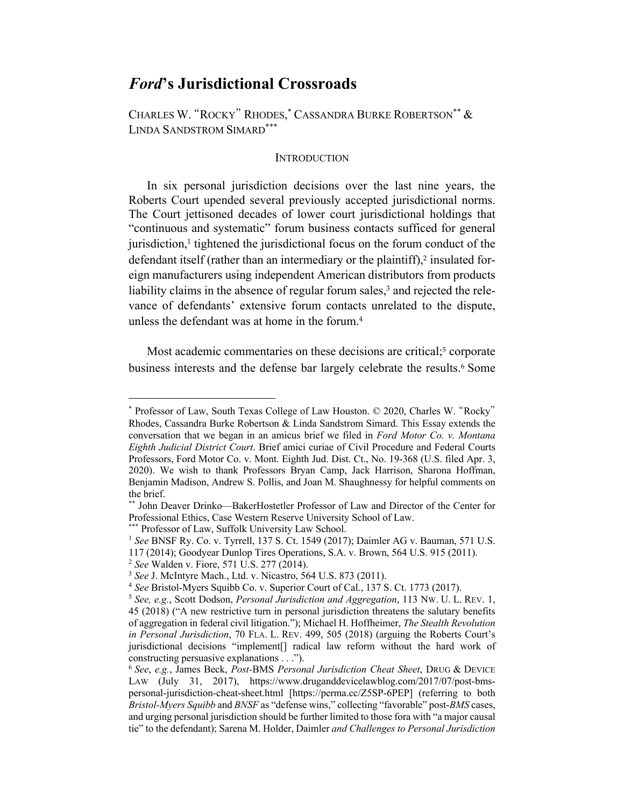# *Ford***'s Jurisdictional Crossroads**

 CHARLES W. "ROCKY" RHODES, \* CASSANDRA BURKE ROBERTSON\*\* & LINDA SANDSTROM SIMARD\*\*\*

#### **INTRODUCTION**

 In six personal jurisdiction decisions over the last nine years, the Roberts Court upended several previously accepted jurisdictional norms. The Court jettisoned decades of lower court jurisdictional holdings that "continuous and systematic" forum business contacts sufficed for general jurisdiction,<sup>1</sup> tightened the jurisdictional focus on the forum conduct of the defendant itself (rather than an intermediary or the plaintiff), $2$  insulated for- eign manufacturers using independent American distributors from products liability claims in the absence of regular forum sales,<sup>3</sup> and rejected the rele- vance of defendants' extensive forum contacts unrelated to the dispute, unless the defendant was at home in the forum.<sup>4</sup>

Most academic commentaries on these decisions are critical;<sup>5</sup> corporate business interests and the defense bar largely celebrate the results.<sup>6</sup> Some

117 (2014); Goodyear Dunlop Tires Operations, S.A. v. Brown, 564 U.S. 915 (2011).

 \* Professor of Law, South Texas College of Law Houston. © 2020, Charles W. "Rocky" Rhodes, Cassandra Burke Robertson & Linda Sandstrom Simard. This Essay extends the conversation that we began in an amicus brief we filed in *Ford Motor Co. v. Montana Eighth Judicial District Court*. Brief amici curiae of Civil Procedure and Federal Courts Professors, Ford Motor Co. v. Mont. Eighth Jud. Dist. Ct., No. 19-368 (U.S. filed Apr. 3, Benjamin Madison, Andrew S. Pollis, and Joan M. Shaughnessy for helpful comments on 2020). We wish to thank Professors Bryan Camp, Jack Harrison, Sharona Hoffman, the brief.

 \*\* John Deaver Drinko—BakerHostetler Professor of Law and Director of the Center for Professional Ethics, Case Western Reserve University School of Law.

<sup>\*\*</sup> Professor of Law, Suffolk University Law School.

<sup>\*\*\*</sup> Professor of Law, Suffolk University Law School.<br><sup>1</sup> *See* BNSF Ry. Co. v. Tyrrell, 137 S. Ct. 1549 (2017); Daimler AG v. Bauman, 571 U.S.

<sup>&</sup>lt;sup>2</sup> See Walden v. Fiore, 571 U.S. 277 (2014).

<sup>&</sup>lt;sup>3</sup> See J. McIntyre Mach., Ltd. v. Nicastro, 564 U.S. 873 (2011).

<sup>&</sup>lt;sup>4</sup> See Bristol-Myers Squibb Co. v. Superior Court of Cal., 137 S. Ct. 1773 (2017).

<sup>&</sup>lt;sup>2</sup> See Walden v. Fiore, 571 U.S. 277 (2014).<br><sup>3</sup> See J. McIntyre Mach., Ltd. v. Nicastro, 564 U.S. 873 (2011).<br><sup>4</sup> See Bristol-Myers Squibb Co. v. Superior Court of Cal., 137 S. Ct. 1773 (2017).<br><sup>5</sup> See, e.g., Scott Dodso 45 (2018) ("A new restrictive turn in personal jurisdiction threatens the salutary benefits of aggregation in federal civil litigation."); Michael H. Hoffheimer, *The Stealth Revolution in Personal Jurisdiction*, 70 FLA. L. REV. 499, 505 (2018) (arguing the Roberts Court's jurisdictional decisions "implement[] radical law reform without the hard work of constructing persuasive explanations . . .").

 <sup>6</sup> *See*, *e.g.*, James Beck, *Post-*BMS *Personal Jurisdiction Cheat Sheet*, DRUG & DEVICE LAW (July 31, 2017), https://www.druganddevicelawblog.com/2017/07/post-bms- personal-jurisdiction-cheat-sheet.html [https://perma.cc/Z5SP-6PEP] (referring to both *Bristol-Myers Squibb* and *BNSF* as "defense wins," collecting "favorable" post-*BMS* cases, and urging personal jurisdiction should be further limited to those fora with "a major causal tie" to the defendant); Sarena M. Holder, Daimler *and Challenges to Personal Jurisdiction*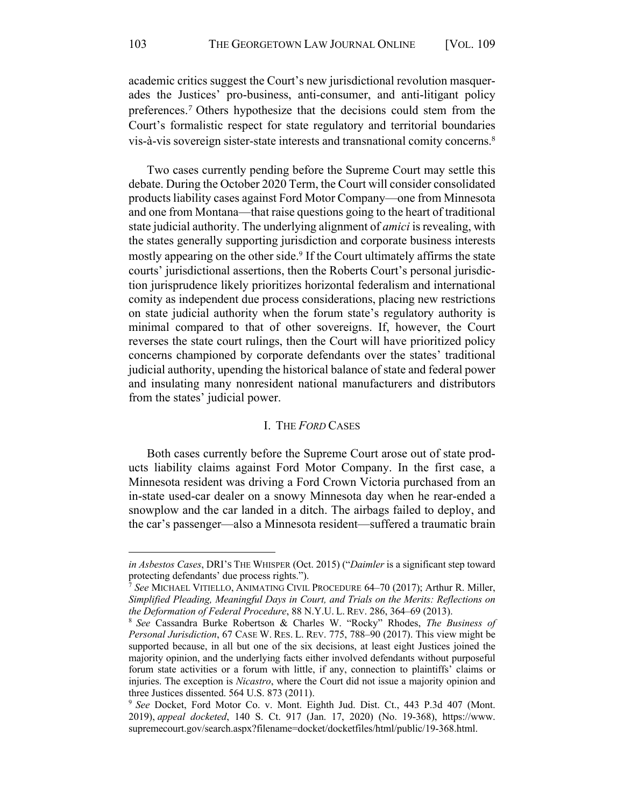academic critics suggest the Court's new jurisdictional revolution masquer- ades the Justices' pro-business, anti-consumer, and anti-litigant policy preferences.7 Others hypothesize that the decisions could stem from the Court's formalistic respect for state regulatory and territorial boundaries vis-à-vis sovereign sister-state interests and transnational comity concerns.<sup>8</sup>

 Two cases currently pending before the Supreme Court may settle this debate. During the October 2020 Term, the Court will consider consolidated products liability cases against Ford Motor Company—one from Minnesota and one from Montana—that raise questions going to the heart of traditional state judicial authority. The underlying alignment of *amici* is revealing, with the states generally supporting jurisdiction and corporate business interests mostly appearing on the other side.<sup>9</sup> If the Court ultimately affirms the state courts' jurisdictional assertions, then the Roberts Court's personal jurisdic- tion jurisprudence likely prioritizes horizontal federalism and international comity as independent due process considerations, placing new restrictions on state judicial authority when the forum state's regulatory authority is minimal compared to that of other sovereigns. If, however, the Court reverses the state court rulings, then the Court will have prioritized policy concerns championed by corporate defendants over the states' traditional judicial authority, upending the historical balance of state and federal power and insulating many nonresident national manufacturers and distributors from the states' judicial power.

## I. THE *FORD* CASES

 Both cases currently before the Supreme Court arose out of state prod- ucts liability claims against Ford Motor Company. In the first case, a Minnesota resident was driving a Ford Crown Victoria purchased from an snowplow and the car landed in a ditch. The airbags failed to deploy, and the car's passenger—also a Minnesota resident—suffered a traumatic brain in-state used-car dealer on a snowy Minnesota day when he rear-ended a

 *in Asbestos Cases*, DRI'S THE WHISPER (Oct. 2015) ("*Daimler* is a significant step toward protecting defendants' due process rights.").

 <sup>7</sup> *See* MICHAEL VITIELLO, ANIMATING CIVIL PROCEDURE 64–70 (2017); Arthur R. Miller,  *Simplified Pleading, Meaningful Days in Court, and Trials on the Merits: Reflections on*  the Deformation of Federal Procedure, 88 N.Y.U. L. REV. 286, 364-69 (2013). *the Deformation of Federal Procedure*, 88 N.Y.U. L. REV. 286, 364–69 (2013). 8 *See* Cassandra Burke Robertson & Charles W. "Rocky" Rhodes, *The Business of* 

 *Personal Jurisdiction*, 67 CASE W. RES. L. REV. 775, 788–90 (2017). This view might be supported because, in all but one of the six decisions, at least eight Justices joined the majority opinion, and the underlying facts either involved defendants without purposeful forum state activities or a forum with little, if any, connection to plaintiffs' claims or injuries. The exception is *Nicastro*, where the Court did not issue a majority opinion and three Justices dissented. 564 U.S. 873 (2011).

 <sup>9</sup> *See* Docket, Ford Motor Co. v. Mont. Eighth Jud. Dist. Ct., 443 P.3d 407 (Mont. 2019), *appeal docketed*, 140 S. Ct. 917 (Jan. 17, 2020) (No. 19-368), [https://www.](https://www.supremecourt.gov/search.aspx?filename=docket/docketfiles/html/public/19-368.html) [supremecourt.gov/search.aspx?filename=docket/docketfiles/html/public/19-368.html.](https://www.supremecourt.gov/search.aspx?filename=docket/docketfiles/html/public/19-368.html)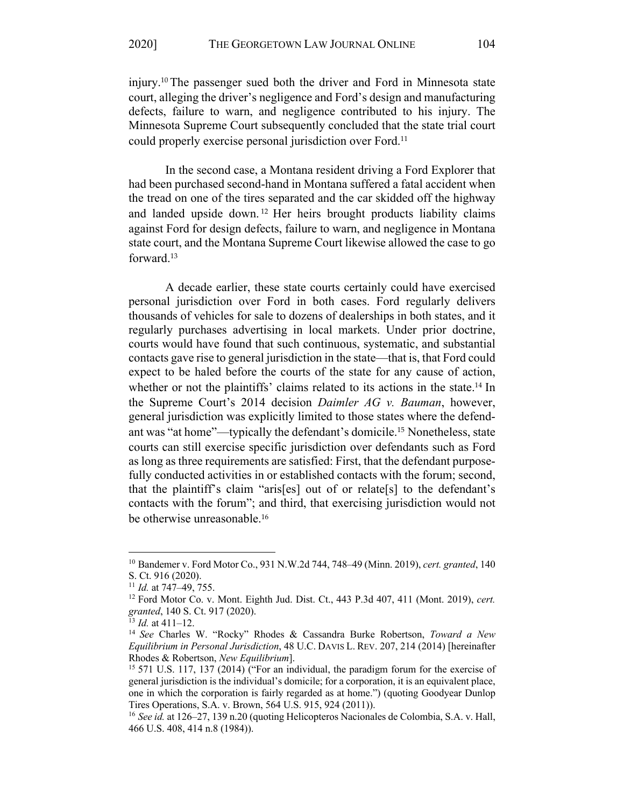injury.10 The passenger sued both the driver and Ford in Minnesota state court, alleging the driver's negligence and Ford's design and manufacturing defects, failure to warn, and negligence contributed to his injury. The Minnesota Supreme Court subsequently concluded that the state trial court could properly exercise personal jurisdiction over Ford.<sup>11</sup>

 had been purchased second-hand in Montana suffered a fatal accident when the tread on one of the tires separated and the car skidded off the highway and landed upside down.<sup>12</sup> Her heirs brought products liability claims against Ford for design defects, failure to warn, and negligence in Montana state court, and the Montana Supreme Court likewise allowed the case to go In the second case, a Montana resident driving a Ford Explorer that forward.<sup>13</sup>

 personal jurisdiction over Ford in both cases. Ford regularly delivers thousands of vehicles for sale to dozens of dealerships in both states, and it courts would have found that such continuous, systematic, and substantial contacts gave rise to general jurisdiction in the state—that is, that Ford could expect to be haled before the courts of the state for any cause of action, whether or not the plaintiffs' claims related to its actions in the state.<sup>14</sup> In the Supreme Court's 2014 decision *Daimler AG v. Bauman*, however, general jurisdiction was explicitly limited to those states where the defend- ant was "at home"—typically the defendant's domicile.15 Nonetheless, state courts can still exercise specific jurisdiction over defendants such as Ford as long as three requirements are satisfied: First, that the defendant purpose- fully conducted activities in or established contacts with the forum; second, that the plaintiff's claim "aris[es] out of or relate[s] to the defendant's contacts with the forum"; and third, that exercising jurisdiction would not A decade earlier, these state courts certainly could have exercised regularly purchases advertising in local markets. Under prior doctrine, be otherwise unreasonable.<sup>16</sup>

 <sup>10</sup> Bandemer v. Ford Motor Co., 931 N.W.2d 744, 748–49 (Minn. 2019), *cert. granted*, 140 S. Ct. 916 (2020).

 $11$  *Id.* at 747-49, 755.

<sup>&</sup>lt;sup>11</sup> *Id.* at 747–49, 755.<br><sup>12</sup> Ford Motor Co. v. Mont. Eighth Jud. Dist. Ct., 443 P.3d 407, 411 (Mont. 2019), *cert*. granted, 140 S. Ct. 917 (2020). *granted*, 140 S. Ct. 917 (2020). 13 *Id.* at 411–12. 14 *See* Charles W. "Rocky" Rhodes & Cassandra Burke Robertson, *Toward a New* 

 $13$  *Id.* at 411-12.

 *Equilibrium in Personal Jurisdiction*, 48 U.C. DAVIS L. REV. 207, 214 (2014) [hereinafter Rhodes & Robertson, New Equilibrium]. Rhodes & Robertson, *New Equilibrium*].<br><sup>15</sup> 571 U.S. 117, 137 (2014) ("For an individual, the paradigm forum for the exercise of

 general jurisdiction is the individual's domicile; for a corporation, it is an equivalent place, one in which the corporation is fairly regarded as at home.") (quoting Goodyear Dunlop Tires Operations, S.A. v. Brown, 564 U.S. 915, 924 (2011)).

 <sup>16</sup> *See id.* at 126–27, 139 n.20 (quoting Helicopteros Nacionales de Colombia, S.A. v. Hall, 466 U.S. 408, 414 n.8 (1984)).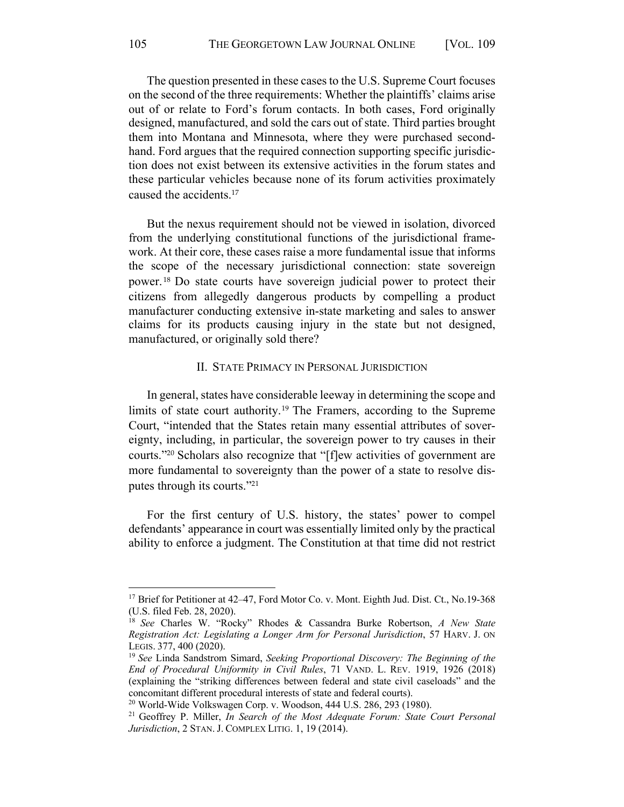The question presented in these cases to the U.S. Supreme Court focuses on the second of the three requirements: Whether the plaintiffs' claims arise out of or relate to Ford's forum contacts. In both cases, Ford originally designed, manufactured, and sold the cars out of state. Third parties brought them into Montana and Minnesota, where they were purchased second- hand. Ford argues that the required connection supporting specific jurisdic- tion does not exist between its extensive activities in the forum states and these particular vehicles because none of its forum activities proximately caused the accidents.<sup>17</sup>

 But the nexus requirement should not be viewed in isolation, divorced from the underlying constitutional functions of the jurisdictional frame- work. At their core, these cases raise a more fundamental issue that informs the scope of the necessary jurisdictional connection: state sovereign power.<sup>18</sup> Do state courts have sovereign judicial power to protect their citizens from allegedly dangerous products by compelling a product manufacturer conducting extensive in-state marketing and sales to answer claims for its products causing injury in the state but not designed, manufactured, or originally sold there?

### II. STATE PRIMACY IN PERSONAL JURISDICTION

 In general, states have considerable leeway in determining the scope and limits of state court authority.<sup>19</sup> The Framers, according to the Supreme Court, "intended that the States retain many essential attributes of sover- courts."20 Scholars also recognize that "[f]ew activities of government are more fundamental to sovereignty than the power of a state to resolve diseignty, including, in particular, the sovereign power to try causes in their putes through its courts."<sup>21</sup>

 For the first century of U.S. history, the states' power to compel defendants' appearance in court was essentially limited only by the practical ability to enforce a judgment. The Constitution at that time did not restrict

<sup>&</sup>lt;sup>17</sup> Brief for Petitioner at 42–47, Ford Motor Co. v. Mont. Eighth Jud. Dist. Ct., No.19-368 (U.S. filed Feb. 28, 2020).

 <sup>18</sup> *See* Charles W. "Rocky" Rhodes & Cassandra Burke Robertson, *A New State Registration Act: Legislating a Longer Arm for Personal Jurisdiction*, 57 HARV. J. ON LEGIS. 377, 400 (2020).<br><sup>19</sup> *See* Linda Sandstrom Simard, *Seeking Proportional Discovery: The Beginning of the* 

 *End of Procedural Uniformity in Civil Rules*, 71 VAND. L. REV. 1919, 1926 (2018) (explaining the "striking differences between federal and state civil caseloads" and the concomitant different procedural interests of state and federal courts).

<sup>&</sup>lt;sup>20</sup> World-Wide Volkswagen Corp. v. Woodson, 444 U.S. 286, 293 (1980).

<sup>&</sup>lt;sup>20</sup> World-Wide Volkswagen Corp. v. Woodson, 444 U.S. 286, 293 (1980).<br><sup>21</sup> Geoffrey P. Miller, *In Search of the Most Adequate Forum: State Court Personal Jurisdiction*, 2 STAN. J. COMPLEX LITIG. 1, 19 (2014).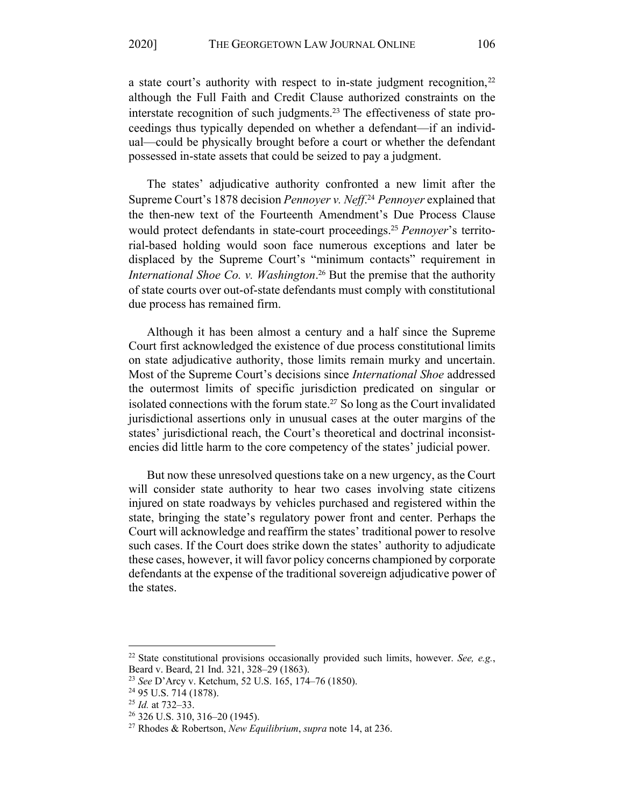a state court's authority with respect to in-state judgment recognition,<sup>22</sup> although the Full Faith and Credit Clause authorized constraints on the interstate recognition of such judgments.<sup>23</sup> The effectiveness of state pro- ceedings thus typically depended on whether a defendant—if an individ- ual—could be physically brought before a court or whether the defendant possessed in-state assets that could be seized to pay a judgment.

 The states' adjudicative authority confronted a new limit after the Supreme Court's 1878 decision *Pennoyer v. Neff*. <sup>24</sup>*Pennoyer* explained that the then-new text of the Fourteenth Amendment's Due Process Clause would protect defendants in state-court proceedings.25 *Pennoyer*'s territo- rial-based holding would soon face numerous exceptions and later be displaced by the Supreme Court's "minimum contacts" requirement in International Shoe Co. v. Washington.<sup>26</sup> But the premise that the authority of state courts over out-of-state defendants must comply with constitutional due process has remained firm.

 Although it has been almost a century and a half since the Supreme Court first acknowledged the existence of due process constitutional limits on state adjudicative authority, those limits remain murky and uncertain. Most of the Supreme Court's decisions since *International Shoe* addressed the outermost limits of specific jurisdiction predicated on singular or isolated connections with the forum state.<sup>27</sup> So long as the Court invalidated jurisdictional assertions only in unusual cases at the outer margins of the states' jurisdictional reach, the Court's theoretical and doctrinal inconsistencies did little harm to the core competency of the states' judicial power.

 But now these unresolved questions take on a new urgency, as the Court will consider state authority to hear two cases involving state citizens injured on state roadways by vehicles purchased and registered within the state, bringing the state's regulatory power front and center. Perhaps the Court will acknowledge and reaffirm the states' traditional power to resolve such cases. If the Court does strike down the states' authority to adjudicate these cases, however, it will favor policy concerns championed by corporate defendants at the expense of the traditional sovereign adjudicative power of the states.

 <sup>22</sup> State constitutional provisions occasionally provided such limits, however. *See, e.g.*, Beard v. Beard, 21 Ind. 321, 328–29 (1863).

<sup>&</sup>lt;sup>23</sup> See D'Arcy v. Ketchum, 52 U.S. 165, 174–76 (1850).

 $25$  *Id.* at 732–33.

<sup>&</sup>lt;sup>26</sup> 326 U.S. 310, 316–20 (1945).

<sup>&</sup>lt;sup>23</sup> *See* D'Arcy v. Ketchum, 52 U.S. 165, 174–76 (1850).<br><sup>24</sup> 95 U.S. 714 (1878).<br><sup>25</sup> *Id.* at 732–33.<br><sup>26</sup> 326 U.S. 310, 316–20 (1945). <sup>27</sup> Rhodes & Robertson, *New Equilibrium, supra* note 14, at 236.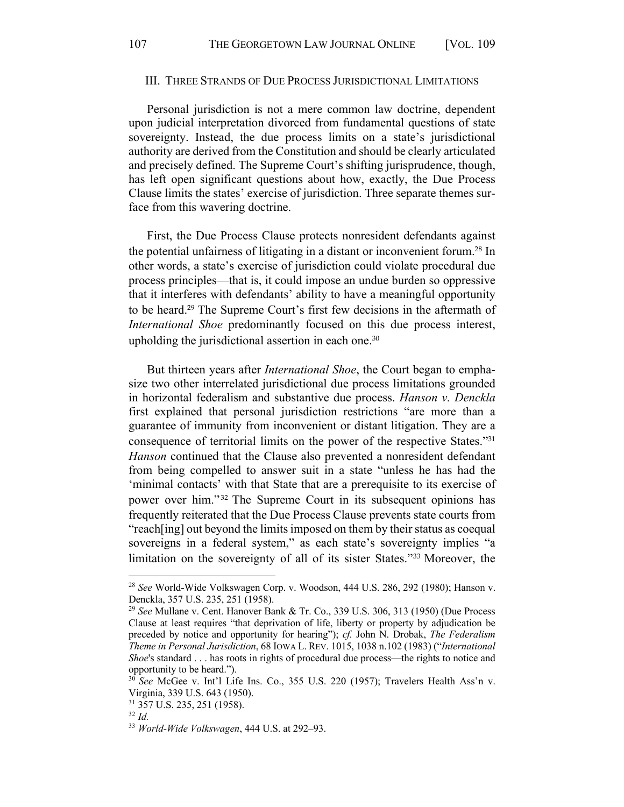### III. THREE STRANDS OF DUE PROCESS JURISDICTIONAL LIMITATIONS

 Personal jurisdiction is not a mere common law doctrine, dependent upon judicial interpretation divorced from fundamental questions of state sovereignty. Instead, the due process limits on a state's jurisdictional authority are derived from the Constitution and should be clearly articulated and precisely defined. The Supreme Court's shifting jurisprudence, though, has left open significant questions about how, exactly, the Due Process Clause limits the states' exercise of jurisdiction. Three separate themes surface from this wavering doctrine.

 First, the Due Process Clause protects nonresident defendants against the potential unfairness of litigating in a distant or inconvenient forum.<sup>28</sup> In other words, a state's exercise of jurisdiction could violate procedural due process principles—that is, it could impose an undue burden so oppressive that it interferes with defendants' ability to have a meaningful opportunity to be heard.29 The Supreme Court's first few decisions in the aftermath of *International Shoe* predominantly focused on this due process interest, upholding the jurisdictional assertion in each one.<sup>30</sup>

 But thirteen years after *International Shoe*, the Court began to empha- size two other interrelated jurisdictional due process limitations grounded in horizontal federalism and substantive due process. *Hanson v. Denckla*  first explained that personal jurisdiction restrictions "are more than a guarantee of immunity from inconvenient or distant litigation. They are a consequence of territorial limits on the power of the respective States."31 *Hanson* continued that the Clause also prevented a nonresident defendant from being compelled to answer suit in a state "unless he has had the 'minimal contacts' with that State that are a prerequisite to its exercise of power over him."<sup>32</sup> The Supreme Court in its subsequent opinions has frequently reiterated that the Due Process Clause prevents state courts from "reach[ing] out beyond the limits imposed on them by their status as coequal sovereigns in a federal system," as each state's sovereignty implies "a limitation on the sovereignty of all of its sister States."33 Moreover, the

 <sup>28</sup> *See* World-Wide Volkswagen Corp. v. Woodson, 444 U.S. 286, 292 (1980); Hanson v. Denckla, 357 U.S. 235, 251 (1958).

 <sup>29</sup> *See* Mullane v. Cent. Hanover Bank & Tr. Co., 339 U.S. 306, 313 (1950) (Due Process Clause at least requires "that deprivation of life, liberty or property by adjudication be preceded by notice and opportunity for hearing"); *cf.* John N. Drobak, *The Federalism Shoe*'s standard . . . has roots in rights of procedural due process—the rights to notice and *Theme in Personal Jurisdiction*, 68 IOWA L. REV. 1015, 1038 n.102 (1983) ("*International*  opportunity to be heard.").

 <sup>30</sup> *See* McGee v. Int'l Life Ins. Co., 355 U.S. 220 (1957); Travelers Health Ass'n v. Virginia, 339 U.S. 643 (1950).

 <sup>31</sup> 357 U.S. 235, 251 (1958). 32 *Id.* 

 $32$  *Id* 

<sup>33</sup> *World-Wide Volkswagen*, 444 U.S. at 292–93.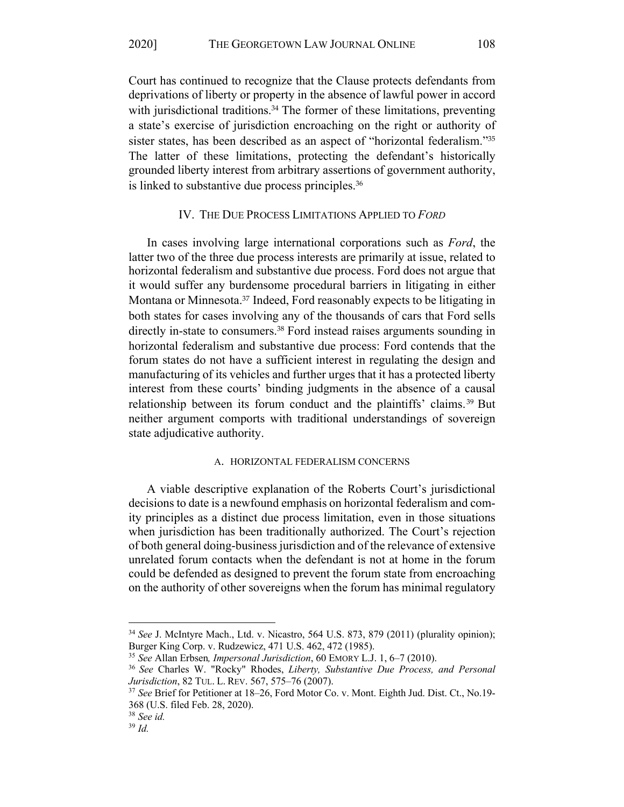Court has continued to recognize that the Clause protects defendants from deprivations of liberty or property in the absence of lawful power in accord with jurisdictional traditions.<sup>34</sup> The former of these limitations, preventing a state's exercise of jurisdiction encroaching on the right or authority of sister states, has been described as an aspect of "horizontal federalism."<sup>35</sup> The latter of these limitations, protecting the defendant's historically grounded liberty interest from arbitrary assertions of government authority, is linked to substantive due process principles.<sup>36</sup>

### IV. THE DUE PROCESS LIMITATIONS APPLIED TO *FORD*

 In cases involving large international corporations such as *Ford*, the latter two of the three due process interests are primarily at issue, related to horizontal federalism and substantive due process. Ford does not argue that it would suffer any burdensome procedural barriers in litigating in either Montana or Minnesota.37 Indeed, Ford reasonably expects to be litigating in both states for cases involving any of the thousands of cars that Ford sells directly in-state to consumers.<sup>38</sup> Ford instead raises arguments sounding in horizontal federalism and substantive due process: Ford contends that the forum states do not have a sufficient interest in regulating the design and manufacturing of its vehicles and further urges that it has a protected liberty interest from these courts' binding judgments in the absence of a causal relationship between its forum conduct and the plaintiffs' claims.<sup>39</sup> But neither argument comports with traditional understandings of sovereign state adjudicative authority.

#### A. HORIZONTAL FEDERALISM CONCERNS

 A viable descriptive explanation of the Roberts Court's jurisdictional decisions to date is a newfound emphasis on horizontal federalism and com- ity principles as a distinct due process limitation, even in those situations when jurisdiction has been traditionally authorized. The Court's rejection of both general doing-business jurisdiction and of the relevance of extensive unrelated forum contacts when the defendant is not at home in the forum could be defended as designed to prevent the forum state from encroaching on the authority of other sovereigns when the forum has minimal regulatory

 <sup>34</sup> *See* J. McIntyre Mach., Ltd. v. Nicastro, 564 U.S. 873, 879 (2011) (plurality opinion); Burger King Corp. v. Rudzewicz, 471 U.S. 462, 472 (1985).

<sup>&</sup>lt;sup>35</sup> See Allan Erbsen, *Impersonal Jurisdiction*, 60 EMORY L.J. 1, 6–7 (2010).

<sup>&</sup>lt;sup>35</sup> *See* Allan Erbsen, *Impersonal Jurisdiction*, 60 EMORY L.J. 1, 6–7 (2010).<br><sup>36</sup> *See* Charles W. "Rocky" Rhodes, *Liberty, Substantive Due Process, and Personal* Jurisdiction, 82 TUL. L. REV. 567, 575-76 (2007). *Jurisdiction*, 82 TUL. L. REV. 567, 575–76 (2007). 37 *See* Brief for Petitioner at 18–26, Ford Motor Co. v. Mont. Eighth Jud. Dist. Ct., No.19-

 368 (U.S. filed Feb. 28, 2020).

 <sup>38</sup> *See id.* 

 $39$  *Id.*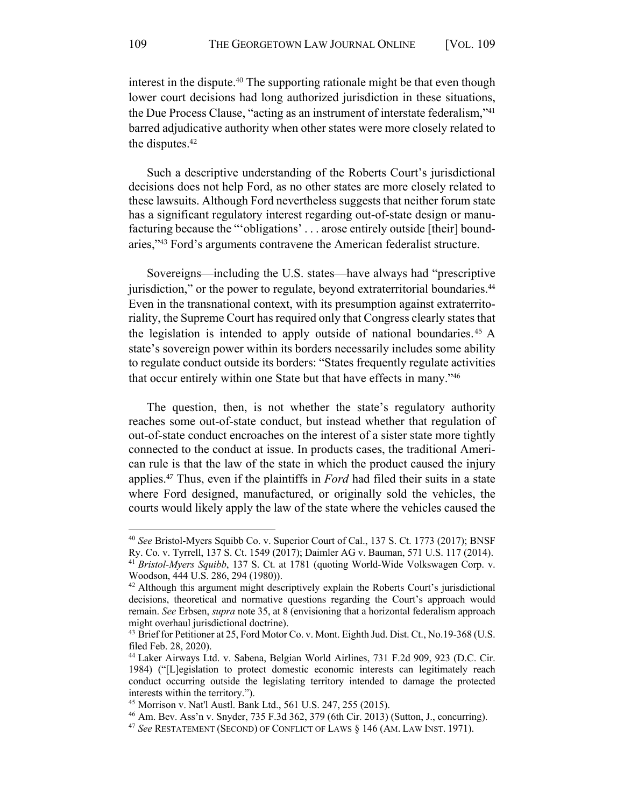interest in the dispute.<sup>40</sup> The supporting rationale might be that even though lower court decisions had long authorized jurisdiction in these situations, the Due Process Clause, "acting as an instrument of interstate federalism,"<sup>41</sup> barred adjudicative authority when other states were more closely related to the disputes.<sup>42</sup>

 Such a descriptive understanding of the Roberts Court's jurisdictional decisions does not help Ford, as no other states are more closely related to these lawsuits. Although Ford nevertheless suggests that neither forum state has a significant regulatory interest regarding out-of-state design or manu- facturing because the "'obligations' . . . arose entirely outside [their] boundaries,"<sup>43</sup> Ford's arguments contravene the American federalist structure.

 Sovereigns—including the U.S. states—have always had "prescriptive jurisdiction," or the power to regulate, beyond extraterritorial boundaries.<sup>44</sup> riality, the Supreme Court has required only that Congress clearly states that the legislation is intended to apply outside of national boundaries.<sup>45</sup> A state's sovereign power within its borders necessarily includes some ability to regulate conduct outside its borders: "States frequently regulate activities Even in the transnational context, with its presumption against extraterritothat occur entirely within one State but that have effects in many."<sup>46</sup>

 The question, then, is not whether the state's regulatory authority reaches some out-of-state conduct, but instead whether that regulation of out-of-state conduct encroaches on the interest of a sister state more tightly connected to the conduct at issue. In products cases, the traditional Ameri- can rule is that the law of the state in which the product caused the injury applies.47 Thus, even if the plaintiffs in *Ford* had filed their suits in a state courts would likely apply the law of the state where the vehicles caused the where Ford designed, manufactured, or originally sold the vehicles, the

 <sup>40</sup> *See* Bristol-Myers Squibb Co. v. Superior Court of Cal., 137 S. Ct. 1773 (2017); BNSF Ry. Co. v. Tyrrell, 137 S. Ct. 1549 (2017); Daimler AG v. Bauman, 571 U.S. 117 (2014).

 <sup>41</sup> *Bristol-Myers Squibb*, 137 S. Ct. at 1781 (quoting World-Wide Volkswagen Corp. v. Woodson, 444 U.S. 286, 294 (1980)).

 $42$  Although this argument might descriptively explain the Roberts Court's jurisdictional decisions, theoretical and normative questions regarding the Court's approach would remain. *See* Erbsen, *supra* note 35, at 8 (envisioning that a horizontal federalism approach might overhaul jurisdictional doctrine).

<sup>&</sup>lt;sup>43</sup> Brief for Petitioner at 25, Ford Motor Co. v. Mont. Eighth Jud. Dist. Ct., No.19-368 (U.S. filed Feb. 28, 2020).

 <sup>44</sup> Laker Airways Ltd. v. Sabena, Belgian World Airlines, 731 F.2d 909, 923 (D.C. Cir. 1984) ("[L]egislation to protect domestic economic interests can legitimately reach conduct occurring outside the legislating territory intended to damage the protected interests within the territory.").

<sup>&</sup>lt;sup>45</sup> Morrison v. Nat'l Austl. Bank Ltd., 561 U.S. 247, 255 (2015).

<sup>&</sup>lt;sup>45</sup> Morrison v. Nat'l Austl. Bank Ltd., 561 U.S. 247, 255 (2015).<br><sup>46</sup> Am. Bev. Ass'n v. Snyder, 735 F.3d 362, 379 (6th Cir. 2013) (Sutton, J., concurring).<br><sup>47</sup> *See* RESTATEMENT (SECOND) OF CONFLICT OF LAWS § 146 (AM. L

<sup>&</sup>lt;sup>47</sup> See RESTATEMENT (SECOND) OF CONFLICT OF LAWS § 146 (AM. LAW INST. 1971).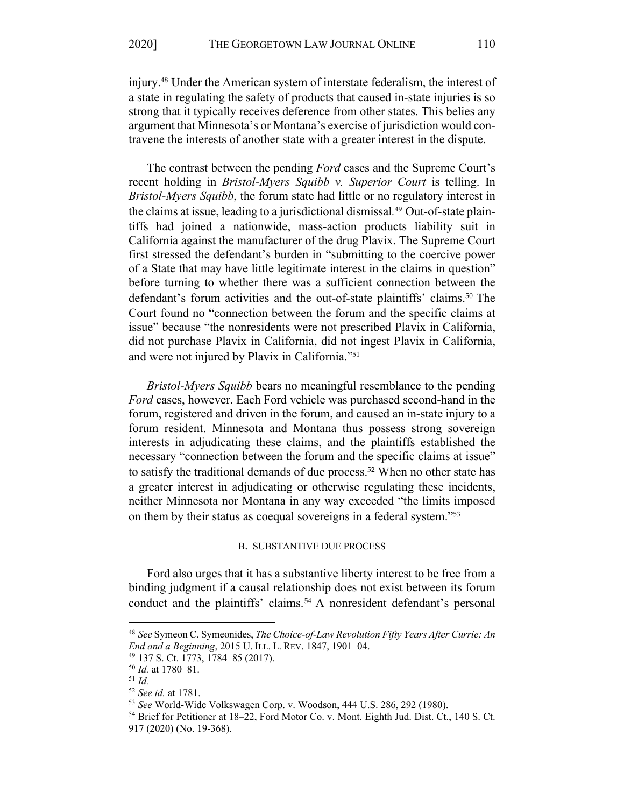injury.<sup>48</sup> Under the American system of interstate federalism, the interest of a state in regulating the safety of products that caused in-state injuries is so strong that it typically receives deference from other states. This belies any argument that Minnesota's or Montana's exercise of jurisdiction would contravene the interests of another state with a greater interest in the dispute.

 The contrast between the pending *Ford* cases and the Supreme Court's recent holding in *Bristol-Myers Squibb v. Superior Court* is telling. In *Bristol-Myers Squibb*, the forum state had little or no regulatory interest in the claims at issue, leading to a jurisdictional dismissal*.* 49 Out-of-state plain- tiffs had joined a nationwide, mass-action products liability suit in California against the manufacturer of the drug Plavix. The Supreme Court first stressed the defendant's burden in "submitting to the coercive power of a State that may have little legitimate interest in the claims in question" before turning to whether there was a sufficient connection between the defendant's forum activities and the out-of-state plaintiffs' claims.50 The Court found no "connection between the forum and the specific claims at issue" because "the nonresidents were not prescribed Plavix in California, did not purchase Plavix in California, did not ingest Plavix in California, and were not injured by Plavix in California."<sup>51</sup>

 *Bristol-Myers Squibb* bears no meaningful resemblance to the pending *Ford* cases, however. Each Ford vehicle was purchased second-hand in the forum, registered and driven in the forum, and caused an in-state injury to a forum resident. Minnesota and Montana thus possess strong sovereign interests in adjudicating these claims, and the plaintiffs established the necessary "connection between the forum and the specific claims at issue" to satisfy the traditional demands of due process.<sup>52</sup> When no other state has neither Minnesota nor Montana in any way exceeded "the limits imposed a greater interest in adjudicating or otherwise regulating these incidents, on them by their status as coequal sovereigns in a federal system."<sup>53</sup>

### B. SUBSTANTIVE DUE PROCESS

 Ford also urges that it has a substantive liberty interest to be free from a binding judgment if a causal relationship does not exist between its forum conduct and the plaintiffs' claims.<sup>54</sup> A nonresident defendant's personal

 <sup>48</sup> *See* Symeon C. Symeonides, *The Choice-of-Law Revolution Fifty Years After Currie: An End and a Beginning*, 2015 U. ILL. L. REV. 1847, 1901–04.<br><sup>49</sup> 137 S. Ct. 1773, 1784–85 (2017).<br><sup>50</sup> *Id.* at 1780–81.<br><sup>51</sup> *Id.* 

<sup>&</sup>lt;sup>49</sup> 137 S. Ct. 1773, 1784–85 (2017).

 $50$  *Id.* at 1780-81.

 $51$  Id

<sup>&</sup>lt;sup>52</sup> See id. at 1781.

<sup>53</sup> See World-Wide Volkswagen Corp. v. Woodson, 444 U.S. 286, 292 (1980).

<sup>&</sup>lt;sup>52</sup> *See id.* at 1781.<br><sup>53</sup> *See* World-Wide Volkswagen Corp. v. Woodson, 444 U.S. 286, 292 (1980).<br><sup>54</sup> Brief for Petitioner at 18–22, Ford Motor Co. v. Mont. Eighth Jud. Dist. Ct., 140 S. Ct. 917 (2020) (No. 19-368).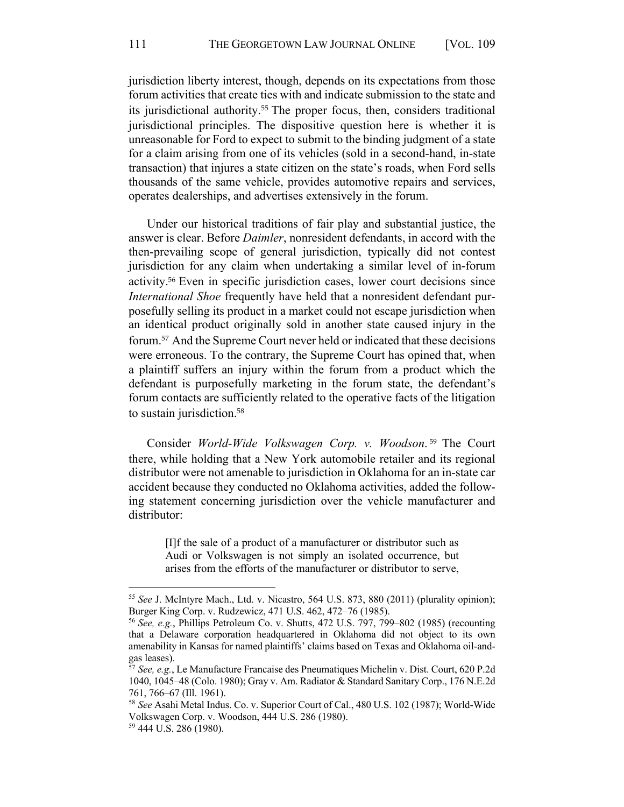jurisdiction liberty interest, though, depends on its expectations from those forum activities that create ties with and indicate submission to the state and its jurisdictional authority.55 The proper focus, then, considers traditional jurisdictional principles. The dispositive question here is whether it is unreasonable for Ford to expect to submit to the binding judgment of a state for a claim arising from one of its vehicles (sold in a second-hand, in-state transaction) that injures a state citizen on the state's roads, when Ford sells thousands of the same vehicle, provides automotive repairs and services, operates dealerships, and advertises extensively in the forum.

 Under our historical traditions of fair play and substantial justice, the then-prevailing scope of general jurisdiction, typically did not contest jurisdiction for any claim when undertaking a similar level of in-forum activity.56 Even in specific jurisdiction cases, lower court decisions since *International Shoe* frequently have held that a nonresident defendant pur- posefully selling its product in a market could not escape jurisdiction when an identical product originally sold in another state caused injury in the forum.57 And the Supreme Court never held or indicated that these decisions were erroneous. To the contrary, the Supreme Court has opined that, when a plaintiff suffers an injury within the forum from a product which the defendant is purposefully marketing in the forum state, the defendant's forum contacts are sufficiently related to the operative facts of the litigation answer is clear. Before *Daimler*, nonresident defendants, in accord with the to sustain jurisdiction.<sup>58</sup>

 Consider *World-Wide Volkswagen Corp. v. Woodson*. 59 The Court there, while holding that a New York automobile retailer and its regional distributor were not amenable to jurisdiction in Oklahoma for an in-state car accident because they conducted no Oklahoma activities, added the follow- ing statement concerning jurisdiction over the vehicle manufacturer and distributor:

> [I]f the sale of a product of a manufacturer or distributor such as Audi or Volkswagen is not simply an isolated occurrence, but arises from the efforts of the manufacturer or distributor to serve,

 <sup>55</sup> *See* J. McIntyre Mach., Ltd. v. Nicastro, 564 U.S. 873, 880 (2011) (plurality opinion); Burger King Corp. v. Rudzewicz, 471 U.S. 462, 472–76 (1985).

 <sup>56</sup> *See, e.g.*, Phillips Petroleum Co. v. Shutts, 472 U.S. 797, 799–802 (1985) (recounting that a Delaware corporation headquartered in Oklahoma did not object to its own amenability in Kansas for named plaintiffs' claims based on Texas and Oklahoma oil-andgas leases).

 $\overline{a}$  1040, 1045–48 (Colo. 1980); Gray v. Am. Radiator & Standard Sanitary Corp., 176 N.E.2d 761, 766–67 (Ill. 1961). <sup>57</sup> *See, e.g.*, Le Manufacture Francaise des Pneumatiques Michelin v. Dist. Court, 620 P.2d

 <sup>58</sup> *See* Asahi Metal Indus. Co. v. Superior Court of Cal., 480 U.S. 102 (1987); World-Wide Volkswagen Corp. v. Woodson, 444 U.S. 286 (1980).

<sup>59</sup> 444 U.S. 286 (1980).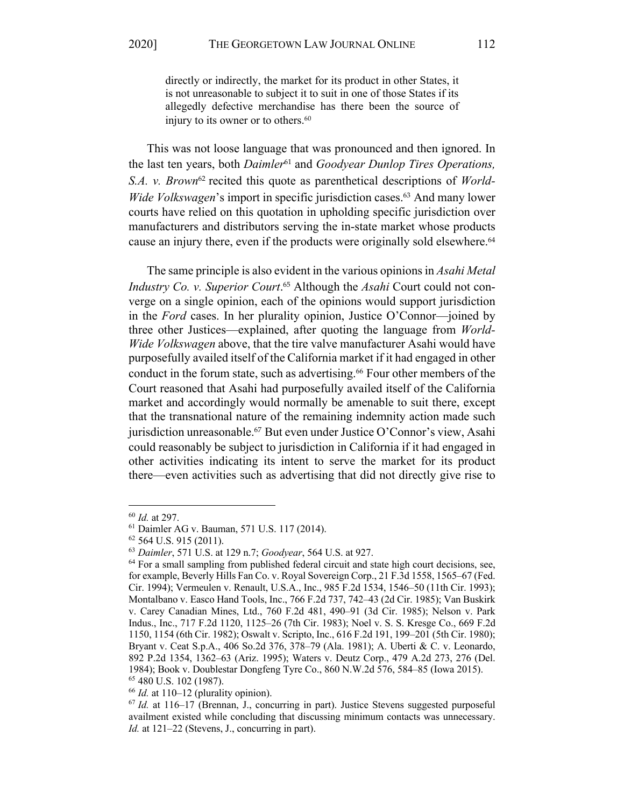directly or indirectly, the market for its product in other States, it is not unreasonable to subject it to suit in one of those States if its allegedly defective merchandise has there been the source of injury to its owner or to others.<sup>60</sup>

 This was not loose language that was pronounced and then ignored. In the last ten years, both *Daimler*61 and *Goodyear Dunlop Tires Operations,*  S.A. v. Brown<sup>62</sup> recited this quote as parenthetical descriptions of *World-Wide Volkswagen*'s import in specific jurisdiction cases.<sup>63</sup> And many lower courts have relied on this quotation in upholding specific jurisdiction over manufacturers and distributors serving the in-state market whose products cause an injury there, even if the products were originally sold elsewhere.<sup>64</sup>

 The same principle is also evident in the various opinions in *Asahi Metal*  Industry Co. v. Superior Court.<sup>65</sup> Although the *Asahi* Court could not con- verge on a single opinion, each of the opinions would support jurisdiction in the *Ford* cases. In her plurality opinion, Justice O'Connor—joined by three other Justices—explained, after quoting the language from *World- Wide Volkswagen* above, that the tire valve manufacturer Asahi would have purposefully availed itself of the California market if it had engaged in other conduct in the forum state, such as advertising.<sup>66</sup> Four other members of the Court reasoned that Asahi had purposefully availed itself of the California market and accordingly would normally be amenable to suit there, except that the transnational nature of the remaining indemnity action made such jurisdiction unreasonable.67 But even under Justice O'Connor's view, Asahi could reasonably be subject to jurisdiction in California if it had engaged in other activities indicating its intent to serve the market for its product there—even activities such as advertising that did not directly give rise to

<sup>&</sup>lt;sup>61</sup> Daimler AG v. Bauman, 571 U.S. 117 (2014).

<sup>&</sup>lt;sup>60</sup> *Id.* at 297.<br><sup>61</sup> Daimler AG v. Bauman, 571 U.S. 117 (2014).<br><sup>62</sup> 564 U.S. 915 (2011).<br><sup>63</sup> Daimler, 571 U.S. at 129 n.7; *Goodyear*, 564 U.S. at 927.<br><sup>64</sup> For a small sampling from published federal circuit and sta for example, Beverly Hills Fan Co. v. Royal Sovereign Corp., 21 F.3d 1558, 1565–67 (Fed. Cir. 1994); Vermeulen v. Renault, U.S.A., Inc., 985 F.2d 1534, 1546–50 (11th Cir. 1993); Montalbano v. Easco Hand Tools, Inc., 766 F.2d 737, 742–43 (2d Cir. 1985); Van Buskirk v. Carey Canadian Mines, Ltd., 760 F.2d 481, 490–91 (3d Cir. 1985); Nelson v. Park Indus., Inc., 717 F.2d 1120, 1125–26 (7th Cir. 1983); Noel v. S. S. Kresge Co., 669 F.2d 1150, 1154 (6th Cir. 1982); Oswalt v. Scripto, Inc., 616 F.2d 191, 199–201 (5th Cir. 1980); Bryant v. Ceat S.p.A., 406 So.2d 376, 378–79 (Ala. 1981); A. Uberti & C. v. Leonardo, 892 P.2d 1354, 1362–63 (Ariz. 1995); Waters v. Deutz Corp., 479 A.2d 273, 276 (Del. 1984); Book v. Doublestar Dongfeng Tyre Co., 860 N.W.2d 576, 584–85 (Iowa 2015).

 $66$  *Id.* at 110–12 (plurality opinion).

<sup>&</sup>lt;sup>65</sup> 480 U.S. 102 (1987).<br><sup>66</sup> *Id.* at 110–12 (plurality opinion).<br><sup>67</sup> *Id.* at 116–17 (Brennan, J., concurring in part). Justice Stevens suggested purposeful availment existed while concluding that discussing minimum contacts was unnecessary. *Id.* at 121–22 (Stevens, J., concurring in part).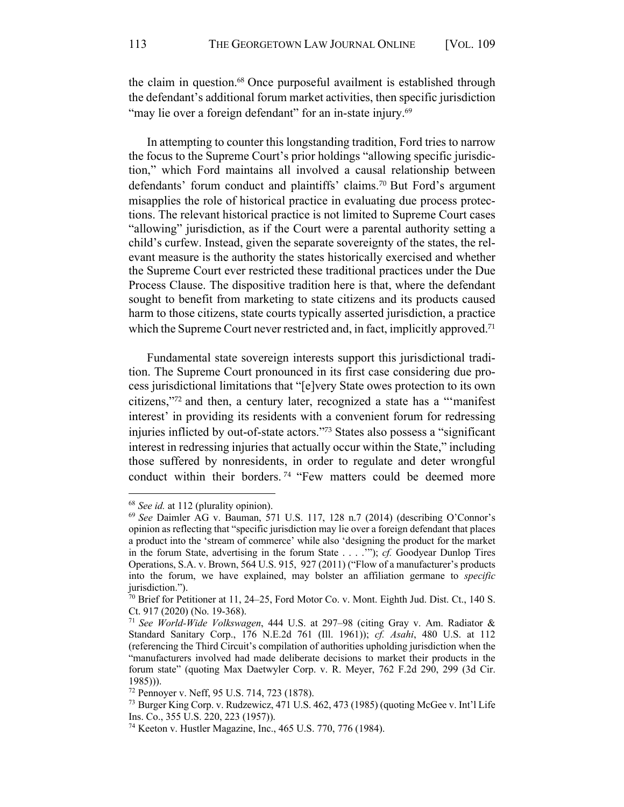the claim in question.<sup>68</sup> Once purposeful availment is established through the defendant's additional forum market activities, then specific jurisdiction "may lie over a foreign defendant" for an in-state injury.<sup>69</sup>

 In attempting to counter this longstanding tradition, Ford tries to narrow the focus to the Supreme Court's prior holdings "allowing specific jurisdic- tion," which Ford maintains all involved a causal relationship between defendants' forum conduct and plaintiffs' claims.<sup>70</sup> But Ford's argument misapplies the role of historical practice in evaluating due process protec- tions. The relevant historical practice is not limited to Supreme Court cases "allowing" jurisdiction, as if the Court were a parental authority setting a child's curfew. Instead, given the separate sovereignty of the states, the rel- evant measure is the authority the states historically exercised and whether the Supreme Court ever restricted these traditional practices under the Due Process Clause. The dispositive tradition here is that, where the defendant sought to benefit from marketing to state citizens and its products caused harm to those citizens, state courts typically asserted jurisdiction, a practice which the Supreme Court never restricted and, in fact, implicitly approved.<sup>71</sup>

 Fundamental state sovereign interests support this jurisdictional tradi- tion. The Supreme Court pronounced in its first case considering due pro- cess jurisdictional limitations that "[e]very State owes protection to its own citizens,"72 and then, a century later, recognized a state has a "'manifest interest' in providing its residents with a convenient forum for redressing injuries inflicted by out-of-state actors."73 States also possess a "significant interest in redressing injuries that actually occur within the State," including those suffered by nonresidents, in order to regulate and deter wrongful conduct within their borders.<sup>74</sup> "Few matters could be deemed more

 $68$  See id. at 112 (plurality opinion).

 <sup>68</sup> *See id.* at 112 (plurality opinion). 69 *See* Daimler AG v. Bauman, 571 U.S. 117, 128 n.7 (2014) (describing O'Connor's opinion as reflecting that "specific jurisdiction may lie over a foreign defendant that places a product into the 'stream of commerce' while also 'designing the product for the market in the forum State, advertising in the forum State . . . .'"); *cf.* Goodyear Dunlop Tires Operations, S.A. v. Brown, 564 U.S. 915, 927 (2011) ("Flow of a manufacturer's products into the forum, we have explained, may bolster an affiliation germane to *specific*  jurisdiction.").

 $70$  Brief for Petitioner at 11, 24–25, Ford Motor Co. v. Mont. Eighth Jud. Dist. Ct., 140 S. Ct. 917 (2020) (No. 19-368).

 <sup>71</sup> *See World-Wide Volkswagen*, 444 U.S. at 297–98 (citing Gray v. Am. Radiator & (referencing the Third Circuit's compilation of authorities upholding jurisdiction when the "manufacturers involved had made deliberate decisions to market their products in the forum state" (quoting Max Daetwyler Corp. v. R. Meyer, 762 F.2d 290, 299 (3d Cir. Standard Sanitary Corp., 176 N.E.2d 761 (Ill. 1961)); *cf. Asahi*, 480 U.S. at 112 1985))).

<sup>&</sup>lt;sup>72</sup> Pennoyer v. Neff, 95 U.S. 714, 723 (1878).

<sup>&</sup>lt;sup>72</sup> Pennoyer v. Neff, 95 U.S. 714, 723 (1878).<br><sup>73</sup> Burger King Corp. v. Rudzewicz, 471 U.S. 462, 473 (1985) (quoting McGee v. Int'l Life Ins. Co., 355 U.S. 220, 223 (1957)).

 <sup>74</sup> Keeton v. Hustler Magazine, Inc., 465 U.S. 770, 776 (1984).